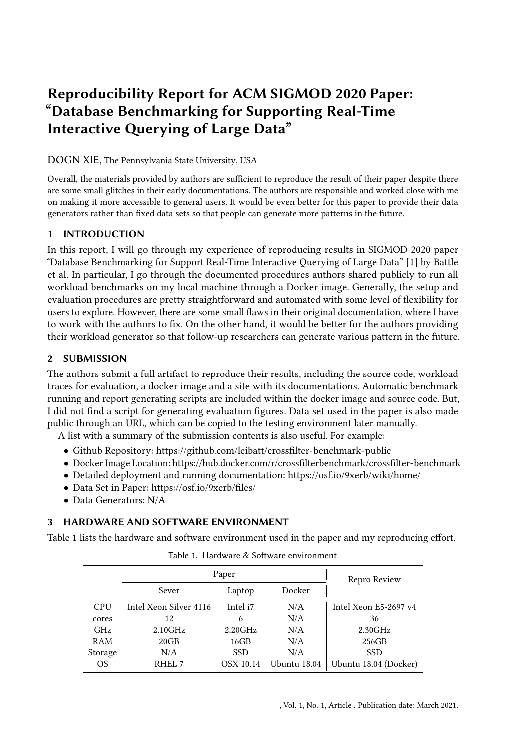# Reproducibility Report for ACM SIGMOD 2020 Paper: "Database Benchmarking for Supporting Real-Time Interactive Querying of Large Data"

## DOGN XIE, The Pennsylvania State University, USA

Overall, the materials provided by authors are sufficient to reproduce the result of their paper despite there are some small glitches in their early documentations. The authors are responsible and worked close with me on making it more accessible to general users. It would be even better for this paper to provide their data generators rather than fixed data sets so that people can generate more patterns in the future.

## 1 INTRODUCTION

In this report, I will go through my experience of reproducing results in SIGMOD 2020 paper "Database Benchmarking for Support Real-Time Interactive Querying of Large Data" [\[1\]](#page-1-0) by Battle et al. In particular, I go through the documented procedures authors shared publicly to run all workload benchmarks on my local machine through a Docker image. Generally, the setup and evaluation procedures are pretty straightforward and automated with some level of flexibility for users to explore. However, there are some small flaws in their original documentation, where I have to work with the authors to fix. On the other hand, it would be better for the authors providing their workload generator so that follow-up researchers can generate various pattern in the future.

## 2 SUBMISSION

The authors submit a full artifact to reproduce their results, including the source code, workload traces for evaluation, a docker image and a site with its documentations. Automatic benchmark running and report generating scripts are included within the docker image and source code. But, I did not find a script for generating evaluation figures. Data set used in the paper is also made public through an URL, which can be copied to the testing environment later manually.

A list with a summary of the submission contents is also useful. For example:

- Github Repository:<https://github.com/leibatt/crossfilter-benchmark-public>
- Docker Image Location:<https://hub.docker.com/r/crossfilterbenchmark/crossfilter-benchmark>
- Detailed deployment and running documentation:<https://osf.io/9xerb/wiki/home/>
- Data Set in Paper:<https://osf.io/9xerb/files/>
- Data Generators: N/A

# 3 HARDWARE AND SOFTWARE ENVIRONMENT

<span id="page-0-0"></span>Table [1](#page-0-0) lists the hardware and software environment used in the paper and my reproducing effort.

|                | Paper                  |            |              | Repro Review          |
|----------------|------------------------|------------|--------------|-----------------------|
|                | Sever                  | Laptop     | Docker       |                       |
| <b>CPU</b>     | Intel Xeon Silver 4116 | Intel i7   | N/A          | Intel Xeon E5-2697 v4 |
| cores          | 12                     | 6          | N/A          | 36                    |
| GHz            | 2.10GHz                | 2.20GHz    | N/A          | 2.30GHz               |
| RAM            | 20GB                   | 16GB       | N/A          | 256GB                 |
| Storage        | N/A                    | <b>SSD</b> | N/A          | <b>SSD</b>            |
| O <sub>S</sub> | RHEL <sub>7</sub>      | OSX 10.14  | Ubuntu 18.04 | Ubuntu 18.04 (Docker) |

Table 1. Hardware & Software environment